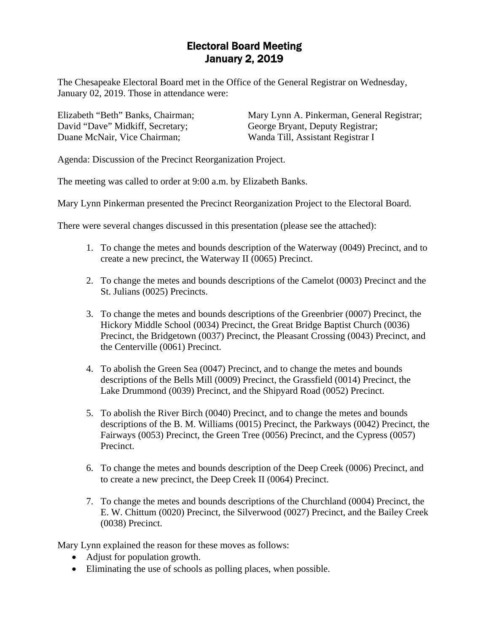## Electoral Board Meeting January 2, 2019

The Chesapeake Electoral Board met in the Office of the General Registrar on Wednesday, January 02, 2019. Those in attendance were:

Elizabeth "Beth" Banks, Chairman; David "Dave" Midkiff, Secretary; Duane McNair, Vice Chairman;

Mary Lynn A. Pinkerman, General Registrar; George Bryant, Deputy Registrar; Wanda Till, Assistant Registrar I

Agenda: Discussion of the Precinct Reorganization Project.

The meeting was called to order at 9:00 a.m. by Elizabeth Banks.

Mary Lynn Pinkerman presented the Precinct Reorganization Project to the Electoral Board.

There were several changes discussed in this presentation (please see the attached):

- 1. To change the metes and bounds description of the Waterway (0049) Precinct, and to create a new precinct, the Waterway II (0065) Precinct.
- 2. To change the metes and bounds descriptions of the Camelot (0003) Precinct and the St. Julians (0025) Precincts.
- 3. To change the metes and bounds descriptions of the Greenbrier (0007) Precinct, the Hickory Middle School (0034) Precinct, the Great Bridge Baptist Church (0036) Precinct, the Bridgetown (0037) Precinct, the Pleasant Crossing (0043) Precinct, and the Centerville (0061) Precinct.
- 4. To abolish the Green Sea (0047) Precinct, and to change the metes and bounds descriptions of the Bells Mill (0009) Precinct, the Grassfield (0014) Precinct, the Lake Drummond (0039) Precinct, and the Shipyard Road (0052) Precinct.
- 5. To abolish the River Birch (0040) Precinct, and to change the metes and bounds descriptions of the B. M. Williams (0015) Precinct, the Parkways (0042) Precinct, the Fairways (0053) Precinct, the Green Tree (0056) Precinct, and the Cypress (0057) Precinct.
- 6. To change the metes and bounds description of the Deep Creek (0006) Precinct, and to create a new precinct, the Deep Creek II (0064) Precinct.
- 7. To change the metes and bounds descriptions of the Churchland (0004) Precinct, the E. W. Chittum (0020) Precinct, the Silverwood (0027) Precinct, and the Bailey Creek (0038) Precinct.

Mary Lynn explained the reason for these moves as follows:

- Adjust for population growth.
- Eliminating the use of schools as polling places, when possible.